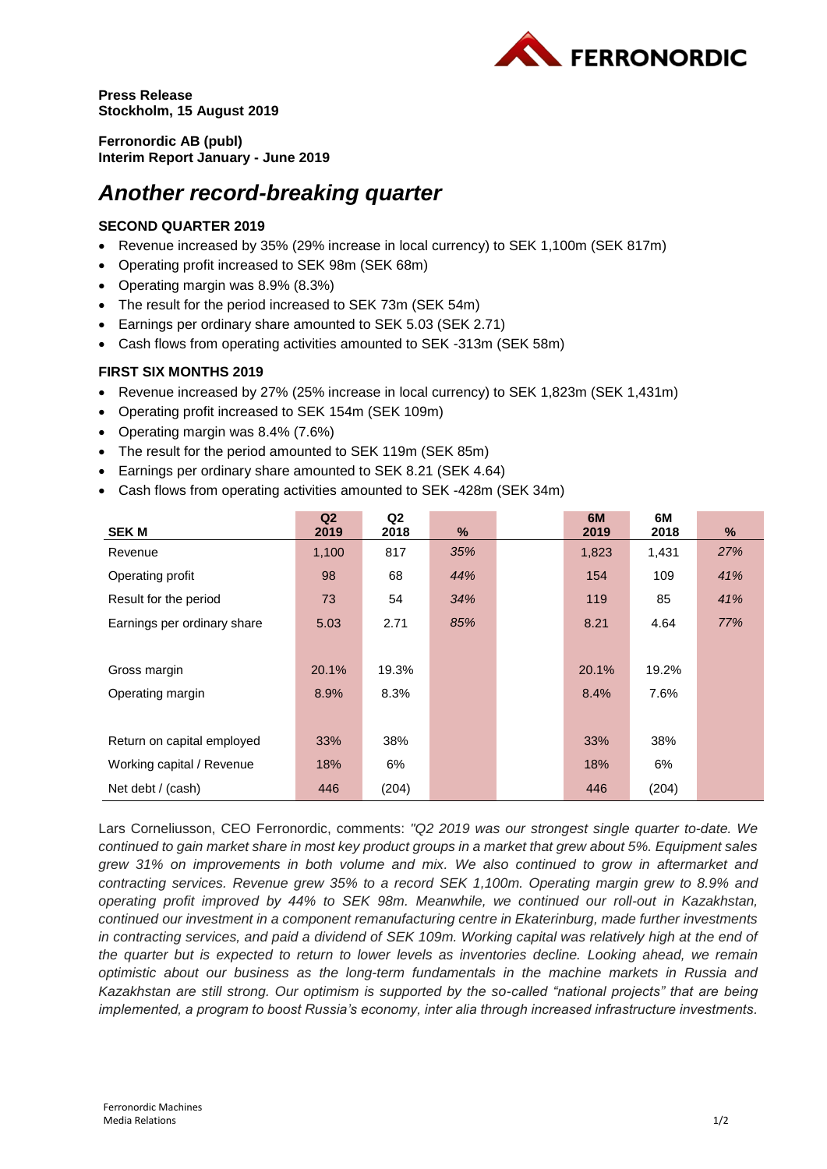

**Press Release Stockholm, 15 August 2019**

**Ferronordic AB (publ) Interim Report January - June 2019**

# *Another record-breaking quarter*

## **SECOND QUARTER 2019**

- Revenue increased by 35% (29% increase in local currency) to SEK 1,100m (SEK 817m)
- Operating profit increased to SEK 98m (SEK 68m)
- Operating margin was 8.9% (8.3%)
- The result for the period increased to SEK 73m (SEK 54m)
- Earnings per ordinary share amounted to SEK 5.03 (SEK 2.71)
- Cash flows from operating activities amounted to SEK -313m (SEK 58m)

## **FIRST SIX MONTHS 2019**

- Revenue increased by 27% (25% increase in local currency) to SEK 1,823m (SEK 1,431m)
- Operating profit increased to SEK 154m (SEK 109m)
- Operating margin was 8.4% (7.6%)
- The result for the period amounted to SEK 119m (SEK 85m)
- Earnings per ordinary share amounted to SEK 8.21 (SEK 4.64)
- Cash flows from operating activities amounted to SEK -428m (SEK 34m)

| <b>SEK M</b>                | Q <sub>2</sub><br>2019 | Q2<br>2018 | %   | 6M<br>2019 | 6M<br>2018 | %   |
|-----------------------------|------------------------|------------|-----|------------|------------|-----|
|                             |                        |            |     |            |            |     |
| Revenue                     | 1,100                  | 817        | 35% | 1,823      | 1,431      | 27% |
| Operating profit            | 98                     | 68         | 44% | 154        | 109        | 41% |
| Result for the period       | 73                     | 54         | 34% | 119        | 85         | 41% |
| Earnings per ordinary share | 5.03                   | 2.71       | 85% | 8.21       | 4.64       | 77% |
|                             |                        |            |     |            |            |     |
| Gross margin                | 20.1%                  | 19.3%      |     | 20.1%      | 19.2%      |     |
| Operating margin            | 8.9%                   | 8.3%       |     | 8.4%       | 7.6%       |     |
|                             |                        |            |     |            |            |     |
| Return on capital employed  | 33%                    | 38%        |     | 33%        | 38%        |     |
| Working capital / Revenue   | 18%                    | 6%         |     | 18%        | 6%         |     |
| Net debt / (cash)           | 446                    | (204)      |     | 446        | (204)      |     |

Lars Corneliusson, CEO Ferronordic, comments: *"Q2 2019 was our strongest single quarter to-date. We continued to gain market share in most key product groups in a market that grew about 5%. Equipment sales grew 31% on improvements in both volume and mix. We also continued to grow in aftermarket and contracting services. Revenue grew 35% to a record SEK 1,100m. Operating margin grew to 8.9% and operating profit improved by 44% to SEK 98m. Meanwhile, we continued our roll-out in Kazakhstan, continued our investment in a component remanufacturing centre in Ekaterinburg, made further investments in contracting services, and paid a dividend of SEK 109m. Working capital was relatively high at the end of the quarter but is expected to return to lower levels as inventories decline. Looking ahead, we remain optimistic about our business as the long-term fundamentals in the machine markets in Russia and Kazakhstan are still strong. Our optimism is supported by the so-called "national projects" that are being implemented, a program to boost Russia's economy, inter alia through increased infrastructure investments.*